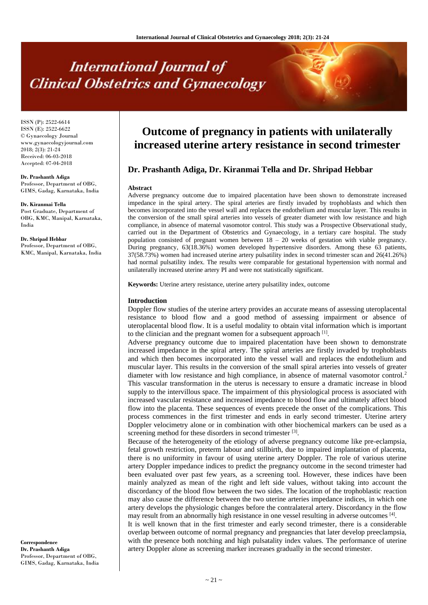# **International Journal of Clinical Obstetrics and Gynaecology**

ISSN (P): 2522-6614 ISSN (E): 2522-6622 © Gynaecology Journal www.gynaecologyjournal.com 2018; 2(3): 21-24 Received: 06-03-2018 Accepted: 07-04-2018

**Dr. Prashanth Adiga** Professor, Department of OBG, GIMS, Gadag, Karnataka, India

**Dr. Kiranmai Tella** Post Graduate, Department of OBG, KMC, Manipal, Karnataka, India

**Dr. Shripad Hebbar** Professor, Department of OBG, KMC, Manipal, Karnataka, India

#### **Correspondence Dr. Prashanth Adiga** Professor, Department of OBG, GIMS, Gadag, Karnataka, India

## **Outcome of pregnancy in patients with unilaterally increased uterine artery resistance in second trimester**

### **Dr. Prashanth Adiga, Dr. Kiranmai Tella and Dr. Shripad Hebbar**

#### **Abstract**

Adverse pregnancy outcome due to impaired placentation have been shown to demonstrate increased impedance in the spiral artery. The spiral arteries are firstly invaded by trophoblasts and which then becomes incorporated into the vessel wall and replaces the endothelium and muscular layer. This results in the conversion of the small spiral arteries into vessels of greater diameter with low resistance and high compliance, in absence of maternal vasomotor control. This study was a Prospective Observational study, carried out in the Department of Obstetrics and Gynaecology, in a tertiary care hospital. The study population consisted of pregnant women between 18 – 20 weeks of gestation with viable pregnancy. During pregnancy, 63(18.36%) women developed hypertensive disorders. Among these 63 patients, 37(58.73%) women had increased uterine artery pulsatility index in second trimester scan and 26(41.26%) had normal pulsatility index. The results were comparable for gestational hypertension with normal and unilaterally increased uterine artery PI and were not statistically significant.

**Keywords:** Uterine artery resistance, uterine artery pulsatility index, outcome

#### **Introduction**

Doppler flow studies of the uterine artery provides an accurate means of assessing uteroplacental resistance to blood flow and a good method of assessing impairment or absence of uteroplacental blood flow. It is a useful modality to obtain vital information which is important to the clinician and the pregnant women for a subsequent approach  $[1]$ .

Adverse pregnancy outcome due to impaired placentation have been shown to demonstrate increased impedance in the spiral artery. The spiral arteries are firstly invaded by trophoblasts and which then becomes incorporated into the vessel wall and replaces the endothelium and muscular layer. This results in the conversion of the small spiral arteries into vessels of greater diameter with low resistance and high compliance, in absence of maternal vasomotor control.<sup>2</sup> This vascular transformation in the uterus is necessary to ensure a dramatic increase in blood supply to the intervillous space. The impairment of this physiological process is associated with increased vascular resistance and increased impedance to blood flow and ultimately affect blood flow into the placenta. These sequences of events precede the onset of the complications. This process commences in the first trimester and ends in early second trimester. Uterine artery Doppler velocimetry alone or in combination with other biochemical markers can be used as a screening method for these disorders in second trimester [3].

Because of the heterogeneity of the etiology of adverse pregnancy outcome like pre-eclampsia, fetal growth restriction, preterm labour and stillbirth, due to impaired implantation of placenta, there is no uniformity in favour of using uterine artery Doppler. The role of various uterine artery Doppler impedance indices to predict the pregnancy outcome in the second trimester had been evaluated over past few years, as a screening tool. However, these indices have been mainly analyzed as mean of the right and left side values, without taking into account the discordancy of the blood flow between the two sides. The location of the trophoblastic reaction may also cause the difference between the two uterine arteries impedance indices, in which one artery develops the physiologic changes before the contralateral artery. Discordancy in the flow may result from an abnormally high resistance in one vessel resulting in adverse outcomes [4].

It is well known that in the first trimester and early second trimester, there is a considerable overlap between outcome of normal pregnancy and pregnancies that later develop preeclampsia, with the presence both notching and high pulsatality index values. The performance of uterine artery Doppler alone as screening marker increases gradually in the second trimester.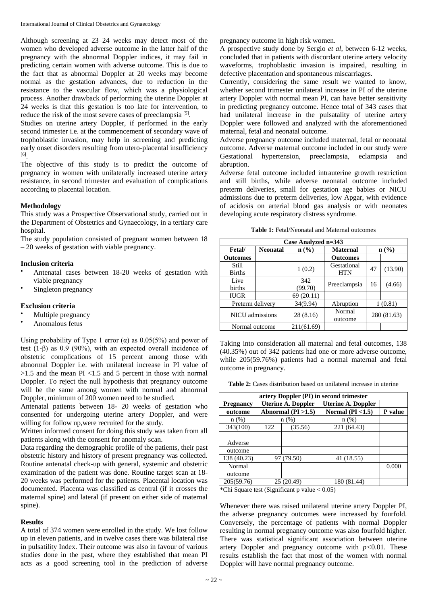Although screening at 23–24 weeks may detect most of the women who developed adverse outcome in the latter half of the pregnancy with the abnormal Doppler indices, it may fail in predicting certain women with adverse outcome. This is due to the fact that as abnormal Doppler at 20 weeks may become normal as the gestation advances, due to reduction in the resistance to the vascular flow, which was a physiological process. Another drawback of performing the uterine Doppler at 24 weeks is that this gestation is too late for intervention, to reduce the risk of the most severe cases of preeclampsia<sup>[5]</sup>.

Studies on uterine artery Doppler, if performed in the early second trimester i.e. at the commencement of secondary wave of trophoblastic invasion, may help in screening and predicting early onset disorders resulting from utero-placental insufficiency [6] .

The objective of this study is to predict the outcome of pregnancy in women with unilaterally increased uterine artery resistance, in second trimester and evaluation of complications according to placental location.

#### **Methodology**

This study was a Prospective Observational study, carried out in the Department of Obstetrics and Gynaecology, in a tertiary care hospital.

The study population consisted of pregnant women between 18 – 20 weeks of gestation with viable pregnancy.

#### **Inclusion criteria**

- Antenatal cases between 18-20 weeks of gestation with viable pregnancy
- Singleton pregnancy

#### **Exclusion criteria**

- Multiple pregnancy
- Anomalous fetus

Using probability of Type 1 error  $(\alpha)$  as 0.05(5%) and power of test (1-β) as 0.9 (90%), with an expected overall incidence of obstetric complications of 15 percent among those with abnormal Doppler i.e. with unilateral increase in PI value of  $>1.5$  and the mean PI <1.5 and 5 percent in those with normal Doppler. To reject the null hypothesis that pregnancy outcome will be the same among women with normal and abnormal Doppler, minimum of 200 women need to be studied.

Antenatal patients between 18- 20 weeks of gestation who consented for undergoing uterine artery Doppler, and were willing for follow up,were recruited for the study.

Written informed consent for doing this study was taken from all patients along with the consent for anomaly scan.

Data regarding the demographic profile of the patients, their past obstetric history and history of present pregnancy was collected. Routine antenatal check-up with general, systemic and obstetric examination of the patient was done. Routine target scan at 18- 20 weeks was performed for the patients. Placental location was documented. Placenta was classified as central (if it crosses the maternal spine) and lateral (if present on either side of maternal spine).

#### **Results**

A total of 374 women were enrolled in the study. We lost follow up in eleven patients, and in twelve cases there was bilateral rise in pulsatility Index. Their outcome was also in favour of various studies done in the past, where they established that mean PI acts as a good screening tool in the prediction of adverse pregnancy outcome in high risk women.

A prospective study done by Sergio *et al*, between 6-12 weeks, concluded that in patients with discordant uterine artery velocity waveforms, trophoblastic invasion is impaired, resulting in defective placentation and spontaneous miscarriages.

Currently, considering the same result we wanted to know, whether second trimester unilateral increase in PI of the uterine artery Doppler with normal mean PI, can have better sensitivity in predicting pregnancy outcome. Hence total of 343 cases that had unilateral increase in the pulsatality of uterine artery Doppler were followed and analyzed with the aforementioned maternal, fetal and neonatal outcome.

Adverse pregnancy outcome included maternal, fetal or neonatal outcome. Adverse maternal outcome included in our study were Gestational hypertension, preeclampsia, eclampsia and abruption.

Adverse fetal outcome included intrauterine growth restriction and still births, while adverse neonatal outcome included preterm deliveries, small for gestation age babies or NICU admissions due to preterm deliveries, low Apgar, with evidence of acidosis on arterial blood gas analysis or with neonates developing acute respiratory distress syndrome.

| Case Analyzed n=343    |                 |                |                           |             |         |  |  |
|------------------------|-----------------|----------------|---------------------------|-------------|---------|--|--|
| <b>Fetal</b>           | <b>Neonatal</b> | $n$ (%)        | <b>Maternal</b>           | n(%)        |         |  |  |
| <b>Outcomes</b>        |                 |                | <b>Outcomes</b>           |             |         |  |  |
| Still<br><b>Births</b> |                 | 1(0.2)         | Gestational<br><b>HTN</b> | 47          | (13.90) |  |  |
| Live<br>births         |                 | 342<br>(99.70) | Preeclampsia              | 16          | (4.66)  |  |  |
| <b>IUGR</b>            |                 | 69 (20.11)     |                           |             |         |  |  |
| Preterm delivery       |                 | 34(9.94)       | Abruption                 | 1(0.81)     |         |  |  |
| NICU admissions        |                 | 28(8.16)       | Normal<br>outcome         | 280 (81.63) |         |  |  |
| Normal outcome         |                 | 211(61.69)     |                           |             |         |  |  |

Taking into consideration all maternal and fetal outcomes, 138 (40.35%) out of 342 patients had one or more adverse outcome, while 205(59.76%) patients had a normal maternal and fetal outcome in pregnancy.

**Table 2:** Cases distribution based on unilateral increase in uterine

| artery Doppler (PI) in second trimester |                           |            |                           |         |  |
|-----------------------------------------|---------------------------|------------|---------------------------|---------|--|
| <b>Pregnancy</b>                        | <b>Uterine A. Doppler</b> |            | <b>Uterine A. Doppler</b> |         |  |
| outcome                                 | Abnormal $(PI > 1.5)$     |            | Normal ( $PI < 1.5$ )     | P value |  |
| $n$ (%)                                 | n(%)                      |            | $n(\%)$                   |         |  |
| 343(100)                                | 122                       | (35.56)    | 221 (64.43)               |         |  |
|                                         |                           |            |                           |         |  |
| Adverse                                 |                           |            |                           |         |  |
| outcome                                 |                           |            |                           |         |  |
| 138 (40.23)                             |                           | 97 (79.50) | 41 (18.55)                |         |  |
| Normal                                  |                           |            |                           | 0.000   |  |
| outcome                                 |                           |            |                           |         |  |
| 205(59.76)                              |                           | 25 (20.49) | 180 (81.44)               |         |  |

\*Chi Square test (Significant p value < 0.05)

Whenever there was raised unilateral uterine artery Doppler PI, the adverse pregnancy outcomes were increased by fourfold. Conversely, the percentage of patients with normal Doppler resulting in normal pregnancy outcome was also fourfold higher. There was statistical significant association between uterine artery Doppler and pregnancy outcome with  $p < 0.01$ . These results establish the fact that most of the women with normal Doppler will have normal pregnancy outcome.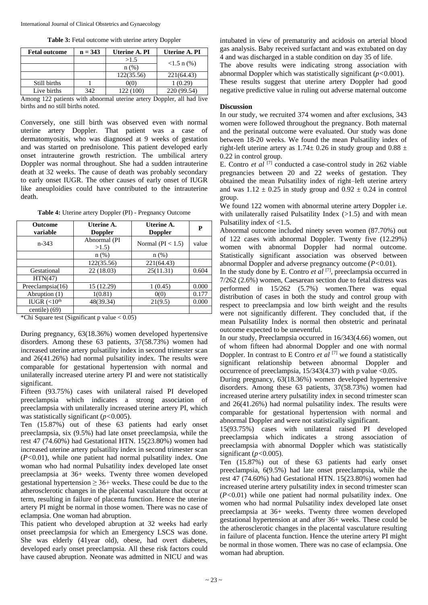**Table 3:** Fetal outcome with uterine artery Doppler

| <b>Fetal outcome</b>                                                  | $n = 343$ | Uterine A. PI | <b>Uterine A. PI</b> |
|-----------------------------------------------------------------------|-----------|---------------|----------------------|
|                                                                       |           | >1.5          |                      |
|                                                                       |           | $n$ (%)       | $<1.5$ n $(\% )$     |
|                                                                       |           | 122(35.56)    | 221(64.43)           |
| Still births                                                          |           | 0(0)          | 1(0.29)              |
| Live births                                                           | 342       | 122(100)      | 220 (99.54)          |
| Among 122 patients with abnormal uterine artery Donnler, all had live |           |               |                      |

g 122 patients with abnormal uterine artery births and no still births noted.

Conversely, one still birth was observed even with normal uterine artery Doppler. That patient was a case of dermatomyositis, who was diagnosed at 9 weeks of gestation and was started on prednisolone. This patient developed early onset intrauterine growth restriction. The umbilical artery Doppler was normal throughout. She had a sudden intrauterine death at 32 weeks. The cause of death was probably secondary to early onset IUGR. The other causes of early onset of IUGR like aneuploidies could have contributed to the intrauterine death.

**Table 4:** Uterine artery Doppler (PI) - Pregnancy Outcome

| <b>Outcome</b><br>variable | Uterine A.<br><b>Doppler</b> | Uterine A.<br><b>Doppler</b> | P     |
|----------------------------|------------------------------|------------------------------|-------|
| $n - 343$                  | Abnormal (PI<br>>1.5         | Normal ( $PI < 1.5$ )        | value |
|                            | $n$ (%)                      | $n$ (%)                      |       |
|                            | 122(35.56)                   | 221(64.43)                   |       |
| Gestational                | 22(18.03)                    | 25(11.31)                    | 0.604 |
| HTN(47)                    |                              |                              |       |
| Preeclampsia(16)           | 15 (12.29)                   | 1(0.45)                      | 0.000 |
| Abruption (1)              | 1(0.81)                      | 0(0)                         | 0.177 |
| IUGR $(<10th$              | 48(39.34)                    | 21(9.5)                      | 0.000 |
| centile) (69)              |                              |                              |       |

\*Chi Square test (Significant p value  $< 0.05$ )

During pregnancy, 63(18.36%) women developed hypertensive disorders. Among these 63 patients, 37(58.73%) women had increased uterine artery pulsatility index in second trimester scan and 26(41.26%) had normal pulsatility index. The results were comparable for gestational hypertension with normal and unilaterally increased uterine artery PI and were not statistically significant.

Fifteen (93.75%) cases with unilateral raised PI developed preeclampsia which indicates a strong association of preeclampsia with unilaterally increased uterine artery PI, which was statistically significant (*p<*0.005).

Ten (15.87%) out of these 63 patients had early onset preeclampsia, six (9.5%) had late onset preeclampsia, while the rest 47 (74.60%) had Gestational HTN. 15(23.80%) women had increased uterine artery pulsatility index in second trimester scan (*P<*0.01), while one patient had normal pulsatility index. One woman who had normal Pulsatility index developed late onset preeclampsia at 36+ weeks. Twenty three women developed gestational hypertension  $\geq 36+$  weeks. These could be due to the atherosclerotic changes in the placental vasculature that occur at term, resulting in failure of placenta function. Hence the uterine artery PI might be normal in those women. There was no case of eclampsia. One woman had abruption.

This patient who developed abruption at 32 weeks had early onset preeclampsia for which an Emergency LSCS was done. She was elderly (41year old), obese, had overt diabetes, developed early onset preeclampsia. All these risk factors could have caused abruption. Neonate was admitted in NICU and was

intubated in view of prematurity and acidosis on arterial blood gas analysis. Baby received surfactant and was extubated on day 4 and was discharged in a stable condition on day 35 of life.

The above results were indicating strong association with abnormal Doppler which was statistically significant (*p<*0.001). These results suggest that uterine artery Doppler had good negative predictive value in ruling out adverse maternal outcome

#### **Discussion**

In our study, we recruited 374 women and after exclusions, 343 women were followed throughout the pregnancy. Both maternal and the perinatal outcome were evaluated. Our study was done between 18-20 weeks. We found the mean Pulsatility index of right-left uterine artery as  $1.74 \pm 0.26$  in study group and  $0.88 \pm 0.26$ 0.22 in control group.

E. Contro *et al* [7] conducted a case-control study in 262 viable pregnancies between 20 and 22 weeks of gestation. They obtained the mean Pulsatility index of right–left uterine artery and was  $1.12 \pm 0.25$  in study group and  $0.92 \pm 0.24$  in control group.

We found 122 women with abnormal uterine artery Doppler i.e. with unilaterally raised Pulsatility Index  $(>1.5)$  and with mean Pulsatility index of <1.5.

Abnormal outcome included ninety seven women (87.70%) out of 122 cases with abnormal Doppler. Twenty five (12.29%) women with abnormal Doppler had normal outcome. Statistically significant association was observed between abnormal Doppler and adverse pregnancy outcome (*P<*0.01).

In the study done by E. Contro  $et$   $al$   $[7]$ , preeclampsia occurred in 7/262 (2.6%) women, Caesarean section due to fetal distress was performed in 15/262 (5.7%) women.There was equal distribution of cases in both the study and control group with respect to preeclampsia and low birth weight and the results were not significantly different. They concluded that, if the mean Pulsatility Index is normal then obstetric and perinatal outcome expected to be uneventful.

In our study, Preeclampsia occurred in 16/343(4.66) women, out of whom fifteen had abnormal Doppler and one with normal Doppler. In contrast to E Contro *et al* [7] we found a statistically significant relationship between abnormal Doppler and occurrence of preeclampsia,  $15/343(4.37)$  with p value <0.05.

During pregnancy, 63(18.36%) women developed hypertensive disorders. Among these 63 patients, 37(58.73%) women had increased uterine artery pulsatility index in second trimester scan and 26(41.26%) had normal pulsatility index. The results were comparable for gestational hypertension with normal and abnormal Doppler and were not statistically significant.

15(93.75%) cases with unilateral raised PI developed preeclampsia which indicates a strong association of preeclampsia with abnormal Doppler which was statistically significant (*p<*0.005).

Ten (15.87%) out of these 63 patients had early onset preeclampsia, 6(9.5%) had late onset preeclampsia, while the rest 47 (74.60%) had Gestational HTN. 15(23.80%) women had increased uterine artery pulsatility index in second trimester scan (*P<*0.01) while one patient had normal pulsatility index. One women who had normal Pulsatility index developed late onset preeclampsia at 36+ weeks. Twenty three women developed gestational hypertension at and after 36+ weeks. These could be the atherosclerotic changes in the placental vasculature resulting in failure of placenta function. Hence the uterine artery PI might be normal in those women. There was no case of eclampsia. One woman had abruption.